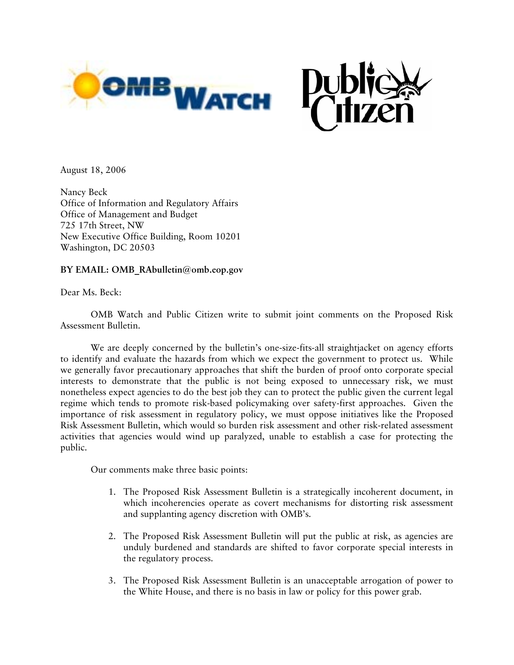

August 18, 2006

Nancy Beck Office of Information and Regulatory Affairs Office of Management and Budget 725 17th Street, NW New Executive Office Building, Room 10201 Washington, DC 20503

### **BY EMAIL: OMB\_RAbulletin@omb.eop.gov**

Dear Ms. Beck:

 OMB Watch and Public Citizen write to submit joint comments on the Proposed Risk Assessment Bulletin.

 We are deeply concerned by the bulletin's one-size-fits-all straightjacket on agency efforts to identify and evaluate the hazards from which we expect the government to protect us. While we generally favor precautionary approaches that shift the burden of proof onto corporate special interests to demonstrate that the public is not being exposed to unnecessary risk, we must nonetheless expect agencies to do the best job they can to protect the public given the current legal regime which tends to promote risk-based policymaking over safety-first approaches. Given the importance of risk assessment in regulatory policy, we must oppose initiatives like the Proposed Risk Assessment Bulletin, which would so burden risk assessment and other risk-related assessment activities that agencies would wind up paralyzed, unable to establish a case for protecting the public.

Our comments make three basic points:

- 1. The Proposed Risk Assessment Bulletin is a strategically incoherent document, in which incoherencies operate as covert mechanisms for distorting risk assessment and supplanting agency discretion with OMB's.
- 2. The Proposed Risk Assessment Bulletin will put the public at risk, as agencies are unduly burdened and standards are shifted to favor corporate special interests in the regulatory process.
- 3. The Proposed Risk Assessment Bulletin is an unacceptable arrogation of power to the White House, and there is no basis in law or policy for this power grab.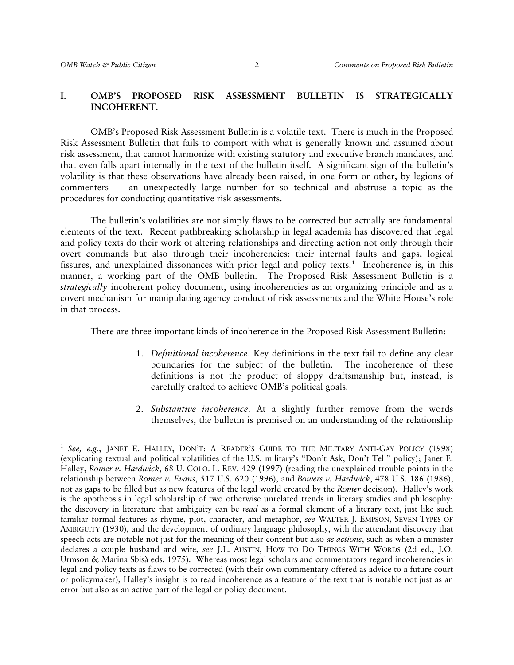#### **I. OMB'S PROPOSED RISK ASSESSMENT BULLETIN IS STRATEGICALLY INCOHERENT.**

 OMB's Proposed Risk Assessment Bulletin is a volatile text. There is much in the Proposed Risk Assessment Bulletin that fails to comport with what is generally known and assumed about risk assessment, that cannot harmonize with existing statutory and executive branch mandates, and that even falls apart internally in the text of the bulletin itself. A significant sign of the bulletin's volatility is that these observations have already been raised, in one form or other, by legions of commenters — an unexpectedly large number for so technical and abstruse a topic as the procedures for conducting quantitative risk assessments.

 The bulletin's volatilities are not simply flaws to be corrected but actually are fundamental elements of the text. Recent pathbreaking scholarship in legal academia has discovered that legal and policy texts do their work of altering relationships and directing action not only through their overt commands but also through their incoherencies: their internal faults and gaps, logical fissures, and unexplained dissonances with prior legal and policy texts.<sup>[1](#page-1-0)</sup> Incoherence is, in this manner, a working part of the OMB bulletin. The Proposed Risk Assessment Bulletin is a *strategically* incoherent policy document, using incoherencies as an organizing principle and as a covert mechanism for manipulating agency conduct of risk assessments and the White House's role in that process.

There are three important kinds of incoherence in the Proposed Risk Assessment Bulletin:

- 1. *Definitional incoherence*. Key definitions in the text fail to define any clear boundaries for the subject of the bulletin. The incoherence of these definitions is not the product of sloppy draftsmanship but, instead, is carefully crafted to achieve OMB's political goals.
- 2. *Substantive incoherence*. At a slightly further remove from the words themselves, the bulletin is premised on an understanding of the relationship

<span id="page-1-0"></span><sup>1</sup> *See, e.g.*, JANET E. HALLEY, DON'T: A READER'S GUIDE TO THE MILITARY ANTI-GAY POLICY (1998) (explicating textual and political volatilities of the U.S. military's "Don't Ask, Don't Tell" policy); Janet E. Halley, *Romer v. Hardwick*, 68 U. COLO. L. REV. 429 (1997) (reading the unexplained trouble points in the relationship between *Romer v. Evans*, 517 U.S. 620 (1996), and *Bowers v. Hardwick*, 478 U.S. 186 (1986), not as gaps to be filled but as new features of the legal world created by the *Romer* decision). Halley's work is the apotheosis in legal scholarship of two otherwise unrelated trends in literary studies and philosophy: the discovery in literature that ambiguity can be *read* as a formal element of a literary text, just like such familiar formal features as rhyme, plot, character, and metaphor, *see* WALTER J. EMPSON, SEVEN TYPES OF AMBIGUITY (1930), and the development of ordinary language philosophy, with the attendant discovery that speech acts are notable not just for the meaning of their content but also *as actions*, such as when a minister declares a couple husband and wife, *see* J.L. AUSTIN, HOW TO DO THINGS WITH WORDS (2d ed., J.O. Urmson & Marina Sbisà eds. 1975). Whereas most legal scholars and commentators regard incoherencies in legal and policy texts as flaws to be corrected (with their own commentary offered as advice to a future court or policymaker), Halley's insight is to read incoherence as a feature of the text that is notable not just as an error but also as an active part of the legal or policy document.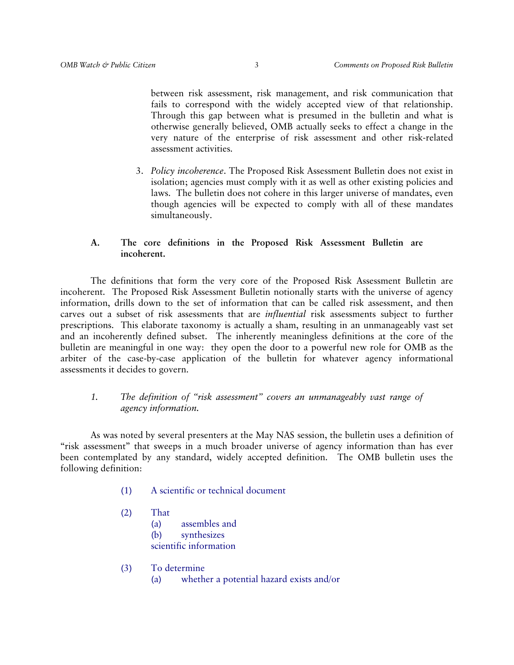between risk assessment, risk management, and risk communication that fails to correspond with the widely accepted view of that relationship. Through this gap between what is presumed in the bulletin and what is otherwise generally believed, OMB actually seeks to effect a change in the very nature of the enterprise of risk assessment and other risk-related assessment activities.

3. *Policy incoherence*. The Proposed Risk Assessment Bulletin does not exist in isolation; agencies must comply with it as well as other existing policies and laws. The bulletin does not cohere in this larger universe of mandates, even though agencies will be expected to comply with all of these mandates simultaneously.

# **A. The core definitions in the Proposed Risk Assessment Bulletin are incoherent.**

 The definitions that form the very core of the Proposed Risk Assessment Bulletin are incoherent. The Proposed Risk Assessment Bulletin notionally starts with the universe of agency information, drills down to the set of information that can be called risk assessment, and then carves out a subset of risk assessments that are *influential* risk assessments subject to further prescriptions. This elaborate taxonomy is actually a sham, resulting in an unmanageably vast set and an incoherently defined subset. The inherently meaningless definitions at the core of the bulletin are meaningful in one way: they open the door to a powerful new role for OMB as the arbiter of the case-by-case application of the bulletin for whatever agency informational assessments it decides to govern.

# *1. The definition of "risk assessment" covers an unmanageably vast range of agency information.*

 As was noted by several presenters at the May NAS session, the bulletin uses a definition of "risk assessment" that sweeps in a much broader universe of agency information than has ever been contemplated by any standard, widely accepted definition. The OMB bulletin uses the following definition:

- (1) A scientific or technical document
- (2) That (a) assembles and (b) synthesizes scientific information
- (3) To determine (a) whether a potential hazard exists and/or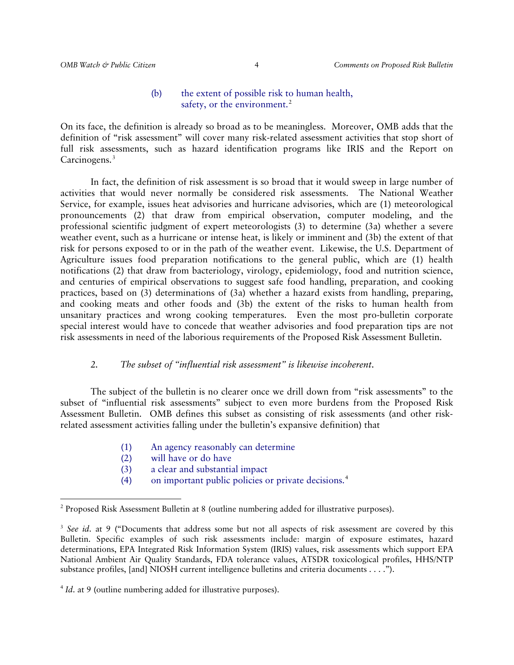### (b) the extent of possible risk to human health, safety, or the environment.<sup>[2](#page-3-0)</sup>

On its face, the definition is already so broad as to be meaningless. Moreover, OMB adds that the definition of "risk assessment" will cover many risk-related assessment activities that stop short of full risk assessments, such as hazard identification programs like IRIS and the Report on Carcinogens.<sup>[3](#page-3-1)</sup>

 In fact, the definition of risk assessment is so broad that it would sweep in large number of activities that would never normally be considered risk assessments. The National Weather Service, for example, issues heat advisories and hurricane advisories, which are (1) meteorological pronouncements (2) that draw from empirical observation, computer modeling, and the professional scientific judgment of expert meteorologists (3) to determine (3a) whether a severe weather event, such as a hurricane or intense heat, is likely or imminent and (3b) the extent of that risk for persons exposed to or in the path of the weather event. Likewise, the U.S. Department of Agriculture issues food preparation notifications to the general public, which are (1) health notifications (2) that draw from bacteriology, virology, epidemiology, food and nutrition science, and centuries of empirical observations to suggest safe food handling, preparation, and cooking practices, based on (3) determinations of (3a) whether a hazard exists from handling, preparing, and cooking meats and other foods and (3b) the extent of the risks to human health from unsanitary practices and wrong cooking temperatures. Even the most pro-bulletin corporate special interest would have to concede that weather advisories and food preparation tips are not risk assessments in need of the laborious requirements of the Proposed Risk Assessment Bulletin.

### *2. The subset of "influential risk assessment" is likewise incoherent.*

 The subject of the bulletin is no clearer once we drill down from "risk assessments" to the subset of "influential risk assessments" subject to even more burdens from the Proposed Risk Assessment Bulletin. OMB defines this subset as consisting of risk assessments (and other riskrelated assessment activities falling under the bulletin's expansive definition) that

- (1) An agency reasonably can determine
- (2) will have or do have

- (3) a clear and substantial impact
- (4) on important public policies or private decisions.[4](#page-3-2)

<span id="page-3-0"></span> $2$  Proposed Risk Assessment Bulletin at 8 (outline numbering added for illustrative purposes).

<span id="page-3-1"></span><sup>&</sup>lt;sup>3</sup> See id. at 9 ("Documents that address some but not all aspects of risk assessment are covered by this Bulletin. Specific examples of such risk assessments include: margin of exposure estimates, hazard determinations, EPA Integrated Risk Information System (IRIS) values, risk assessments which support EPA National Ambient Air Quality Standards, FDA tolerance values, ATSDR toxicological profiles, HHS/NTP substance profiles, [and] NIOSH current intelligence bulletins and criteria documents . . . .").

<span id="page-3-2"></span><sup>&</sup>lt;sup>4</sup> *Id.* at 9 (outline numbering added for illustrative purposes).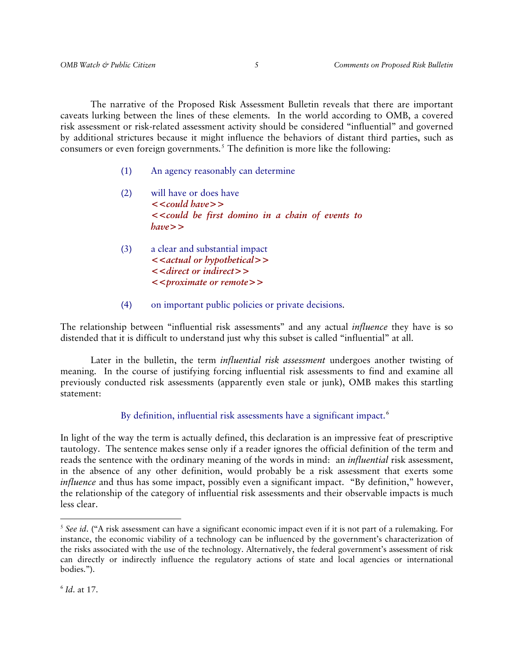The narrative of the Proposed Risk Assessment Bulletin reveals that there are important caveats lurking between the lines of these elements. In the world according to OMB, a covered risk assessment or risk-related assessment activity should be considered "influential" and governed by additional strictures because it might influence the behaviors of distant third parties, such as consumers or even foreign governments.<sup>[5](#page-4-0)</sup> The definition is more like the following:

- (1) An agency reasonably can determine
- (2) will have or does have **<<***could have***>> <<***could be first domino in a chain of events to have***>>**
- (3) a clear and substantial impact **<<***actual or hypothetical***>> <<***direct or indirect***>> <<***proximate or remote***>>**
- (4) on important public policies or private decisions.

The relationship between "influential risk assessments" and any actual *influence* they have is so distended that it is difficult to understand just why this subset is called "influential" at all.

 Later in the bulletin, the term *influential risk assessment* undergoes another twisting of meaning. In the course of justifying forcing influential risk assessments to find and examine all previously conducted risk assessments (apparently even stale or junk), OMB makes this startling statement:

By definition, influential risk assessments have a significant impact.<sup>[6](#page-4-1)</sup>

In light of the way the term is actually defined, this declaration is an impressive feat of prescriptive tautology. The sentence makes sense only if a reader ignores the official definition of the term and reads the sentence with the ordinary meaning of the words in mind: an *influential* risk assessment, in the absence of any other definition, would probably be a risk assessment that exerts some *influence* and thus has some impact, possibly even a significant impact. "By definition," however, the relationship of the category of influential risk assessments and their observable impacts is much less clear.

<span id="page-4-0"></span><sup>&</sup>lt;sup>5</sup> See id. ("A risk assessment can have a significant economic impact even if it is not part of a rulemaking. For instance, the economic viability of a technology can be influenced by the government's characterization of the risks associated with the use of the technology. Alternatively, the federal government's assessment of risk can directly or indirectly influence the regulatory actions of state and local agencies or international bodies.").

<span id="page-4-1"></span><sup>6</sup> *Id*. at 17.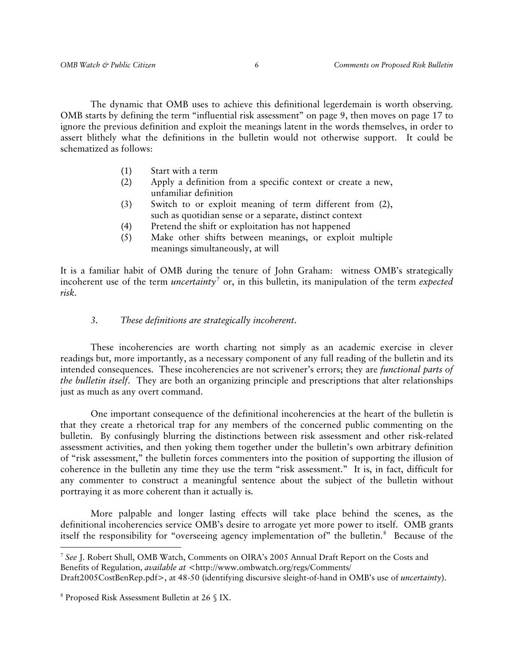The dynamic that OMB uses to achieve this definitional legerdemain is worth observing. OMB starts by defining the term "influential risk assessment" on page 9, then moves on page 17 to ignore the previous definition and exploit the meanings latent in the words themselves, in order to assert blithely what the definitions in the bulletin would not otherwise support. It could be schematized as follows:

- (1) Start with a term
- (2) Apply a definition from a specific context or create a new, unfamiliar definition
- (3) Switch to or exploit meaning of term different from (2), such as quotidian sense or a separate, distinct context
- (4) Pretend the shift or exploitation has not happened
- (5) Make other shifts between meanings, or exploit multiple meanings simultaneously, at will

It is a familiar habit of OMB during the tenure of John Graham: witness OMB's strategically incoherent use of the term *uncertainty[7](#page-5-0)* or, in this bulletin, its manipulation of the term *expected risk*.

#### *3. These definitions are strategically incoherent.*

 These incoherencies are worth charting not simply as an academic exercise in clever readings but, more importantly, as a necessary component of any full reading of the bulletin and its intended consequences. These incoherencies are not scrivener's errors; they are *functional parts of the bulletin itself*. They are both an organizing principle and prescriptions that alter relationships just as much as any overt command.

 One important consequence of the definitional incoherencies at the heart of the bulletin is that they create a rhetorical trap for any members of the concerned public commenting on the bulletin. By confusingly blurring the distinctions between risk assessment and other risk-related assessment activities, and then yoking them together under the bulletin's own arbitrary definition of "risk assessment," the bulletin forces commenters into the position of supporting the illusion of coherence in the bulletin any time they use the term "risk assessment." It is, in fact, difficult for any commenter to construct a meaningful sentence about the subject of the bulletin without portraying it as more coherent than it actually is.

 More palpable and longer lasting effects will take place behind the scenes, as the definitional incoherencies service OMB's desire to arrogate yet more power to itself. OMB grants itself the responsibility for "overseeing agency implementation of" the bulletin.<sup>[8](#page-5-1)</sup> Because of the

<span id="page-5-0"></span><sup>7</sup> *See* J. Robert Shull, OMB Watch, Comments on OIRA's 2005 Annual Draft Report on the Costs and Benefits of Regulation, *available at* <http://www.ombwatch.org/regs/Comments/

Draft2005CostBenRep.pdf>, at 48-50 (identifying discursive sleight-of-hand in OMB's use of *uncertainty*).

<span id="page-5-1"></span><sup>8</sup> Proposed Risk Assessment Bulletin at 26 § IX.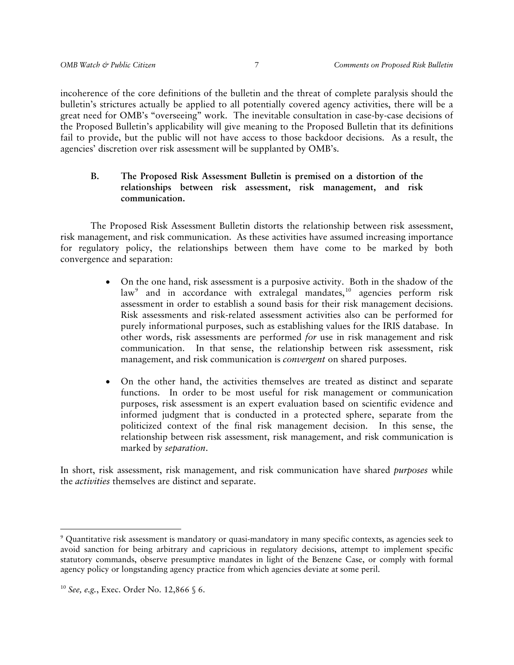incoherence of the core definitions of the bulletin and the threat of complete paralysis should the bulletin's strictures actually be applied to all potentially covered agency activities, there will be a great need for OMB's "overseeing" work. The inevitable consultation in case-by-case decisions of the Proposed Bulletin's applicability will give meaning to the Proposed Bulletin that its definitions fail to provide, but the public will not have access to those backdoor decisions. As a result, the agencies' discretion over risk assessment will be supplanted by OMB's.

### **B. The Proposed Risk Assessment Bulletin is premised on a distortion of the relationships between risk assessment, risk management, and risk communication.**

 The Proposed Risk Assessment Bulletin distorts the relationship between risk assessment, risk management, and risk communication. As these activities have assumed increasing importance for regulatory policy, the relationships between them have come to be marked by both convergence and separation:

- On the one hand, risk assessment is a purposive activity. Both in the shadow of the law<sup>[9](#page-6-0)</sup> and in accordance with extralegal mandates,<sup>[10](#page-6-1)</sup> agencies perform risk assessment in order to establish a sound basis for their risk management decisions. Risk assessments and risk-related assessment activities also can be performed for purely informational purposes, such as establishing values for the IRIS database. In other words, risk assessments are performed *for* use in risk management and risk communication. In that sense, the relationship between risk assessment, risk management, and risk communication is *convergent* on shared purposes.
- On the other hand, the activities themselves are treated as distinct and separate functions. In order to be most useful for risk management or communication purposes, risk assessment is an expert evaluation based on scientific evidence and informed judgment that is conducted in a protected sphere, separate from the politicized context of the final risk management decision. In this sense, the relationship between risk assessment, risk management, and risk communication is marked by *separation*.

In short, risk assessment, risk management, and risk communication have shared *purposes* while the *activities* themselves are distinct and separate.

<span id="page-6-0"></span> 9 Quantitative risk assessment is mandatory or quasi-mandatory in many specific contexts, as agencies seek to avoid sanction for being arbitrary and capricious in regulatory decisions, attempt to implement specific statutory commands, observe presumptive mandates in light of the Benzene Case, or comply with formal agency policy or longstanding agency practice from which agencies deviate at some peril.

<span id="page-6-1"></span><sup>10</sup> *See, e.g.*, Exec. Order No. 12,866 § 6.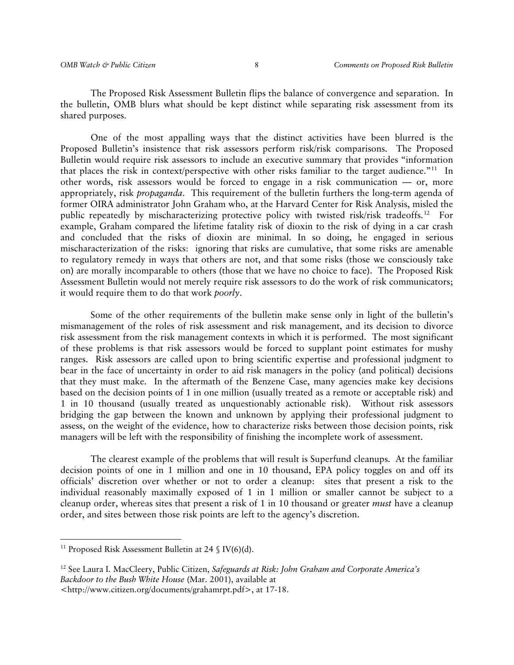The Proposed Risk Assessment Bulletin flips the balance of convergence and separation. In the bulletin, OMB blurs what should be kept distinct while separating risk assessment from its shared purposes.

 One of the most appalling ways that the distinct activities have been blurred is the Proposed Bulletin's insistence that risk assessors perform risk/risk comparisons. The Proposed Bulletin would require risk assessors to include an executive summary that provides "information that places the risk in context/perspective with other risks familiar to the target audience."<sup>[11](#page-7-0)</sup> In other words, risk assessors would be forced to engage in a risk communication — or, more appropriately, risk *propaganda*. This requirement of the bulletin furthers the long-term agenda of former OIRA administrator John Graham who, at the Harvard Center for Risk Analysis, misled the public repeatedly by mischaracterizing protective policy with twisted risk/risk tradeoffs.[12](#page-7-1) For example, Graham compared the lifetime fatality risk of dioxin to the risk of dying in a car crash and concluded that the risks of dioxin are minimal. In so doing, he engaged in serious mischaracterization of the risks: ignoring that risks are cumulative, that some risks are amenable to regulatory remedy in ways that others are not, and that some risks (those we consciously take on) are morally incomparable to others (those that we have no choice to face). The Proposed Risk Assessment Bulletin would not merely require risk assessors to do the work of risk communicators; it would require them to do that work *poorly*.

 Some of the other requirements of the bulletin make sense only in light of the bulletin's mismanagement of the roles of risk assessment and risk management, and its decision to divorce risk assessment from the risk management contexts in which it is performed. The most significant of these problems is that risk assessors would be forced to supplant point estimates for mushy ranges. Risk assessors are called upon to bring scientific expertise and professional judgment to bear in the face of uncertainty in order to aid risk managers in the policy (and political) decisions that they must make. In the aftermath of the Benzene Case, many agencies make key decisions based on the decision points of 1 in one million (usually treated as a remote or acceptable risk) and 1 in 10 thousand (usually treated as unquestionably actionable risk). Without risk assessors bridging the gap between the known and unknown by applying their professional judgment to assess, on the weight of the evidence, how to characterize risks between those decision points, risk managers will be left with the responsibility of finishing the incomplete work of assessment.

 The clearest example of the problems that will result is Superfund cleanups. At the familiar decision points of one in 1 million and one in 10 thousand, EPA policy toggles on and off its officials' discretion over whether or not to order a cleanup: sites that present a risk to the individual reasonably maximally exposed of 1 in 1 million or smaller cannot be subject to a cleanup order, whereas sites that present a risk of 1 in 10 thousand or greater *must* have a cleanup order, and sites between those risk points are left to the agency's discretion.

<span id="page-7-0"></span><sup>&</sup>lt;sup>11</sup> Proposed Risk Assessment Bulletin at 24  $\mathcal{S}$  IV(6)(d).

<span id="page-7-1"></span><sup>12</sup> See Laura I. MacCleery, Public Citizen, *Safeguards at Risk: John Graham and Corporate America's Backdoor to the Bush White House* (Mar. 2001), available at

<sup>&</sup>lt;http://www.citizen.org/documents/grahamrpt.pdf>, at 17-18.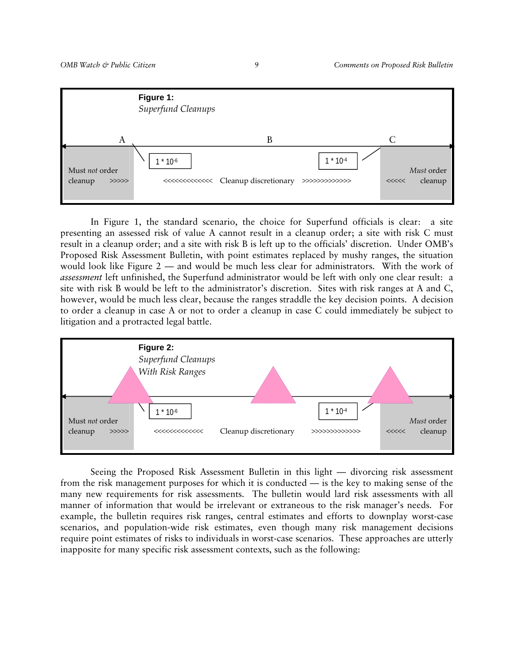

 In Figure 1, the standard scenario, the choice for Superfund officials is clear: a site presenting an assessed risk of value A cannot result in a cleanup order; a site with risk C must result in a cleanup order; and a site with risk B is left up to the officials' discretion. Under OMB's Proposed Risk Assessment Bulletin, with point estimates replaced by mushy ranges, the situation would look like Figure 2 — and would be much less clear for administrators. With the work of *assessment* left unfinished, the Superfund administrator would be left with only one clear result: a site with risk B would be left to the administrator's discretion. Sites with risk ranges at A and C, however, would be much less clear, because the ranges straddle the key decision points. A decision to order a cleanup in case A or not to order a cleanup in case C could immediately be subject to litigation and a protracted legal battle.



 Seeing the Proposed Risk Assessment Bulletin in this light — divorcing risk assessment from the risk management purposes for which it is conducted — is the key to making sense of the many new requirements for risk assessments. The bulletin would lard risk assessments with all manner of information that would be irrelevant or extraneous to the risk manager's needs. For example, the bulletin requires risk ranges, central estimates and efforts to downplay worst-case scenarios, and population-wide risk estimates, even though many risk management decisions require point estimates of risks to individuals in worst-case scenarios. These approaches are utterly inapposite for many specific risk assessment contexts, such as the following: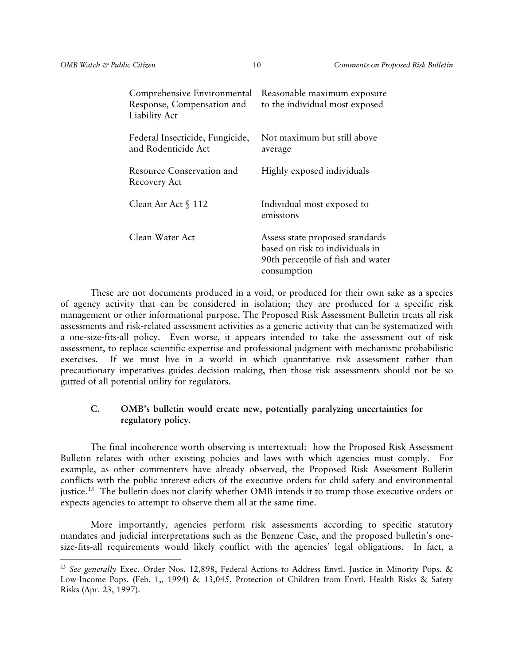| Comprehensive Environmental<br>Response, Compensation and<br>Liability Act | Reasonable maximum exposure<br>to the individual most exposed                                                          |
|----------------------------------------------------------------------------|------------------------------------------------------------------------------------------------------------------------|
| Federal Insecticide, Fungicide,<br>and Rodenticide Act                     | Not maximum but still above<br>average                                                                                 |
| <b>Resource Conservation and</b><br>Recovery Act                           | Highly exposed individuals                                                                                             |
| Clean Air Act § 112                                                        | Individual most exposed to<br>emissions                                                                                |
| Clean Water Act                                                            | Assess state proposed standards<br>based on risk to individuals in<br>90th percentile of fish and water<br>consumption |

 These are not documents produced in a void, or produced for their own sake as a species of agency activity that can be considered in isolation; they are produced for a specific risk management or other informational purpose. The Proposed Risk Assessment Bulletin treats all risk assessments and risk-related assessment activities as a generic activity that can be systematized with a one-size-fits-all policy. Even worse, it appears intended to take the assessment out of risk assessment, to replace scientific expertise and professional judgment with mechanistic probabilistic exercises. If we must live in a world in which quantitative risk assessment rather than precautionary imperatives guides decision making, then those risk assessments should not be so gutted of all potential utility for regulators.

### **C. OMB's bulletin would create new, potentially paralyzing uncertainties for regulatory policy.**

 The final incoherence worth observing is intertextual: how the Proposed Risk Assessment Bulletin relates with other existing policies and laws with which agencies must comply. For example, as other commenters have already observed, the Proposed Risk Assessment Bulletin conflicts with the public interest edicts of the executive orders for child safety and environmental justice.<sup>[13](#page-9-0)</sup> The bulletin does not clarify whether OMB intends it to trump those executive orders or expects agencies to attempt to observe them all at the same time.

 More importantly, agencies perform risk assessments according to specific statutory mandates and judicial interpretations such as the Benzene Case, and the proposed bulletin's onesize-fits-all requirements would likely conflict with the agencies' legal obligations. In fact, a

<span id="page-9-0"></span><sup>&</sup>lt;sup>13</sup> See generally Exec. Order Nos. 12,898, Federal Actions to Address Envtl. Justice in Minority Pops. & Low-Income Pops. (Feb. 1,, 1994) & 13,045, Protection of Children from Envtl. Health Risks & Safety Risks (Apr. 23, 1997).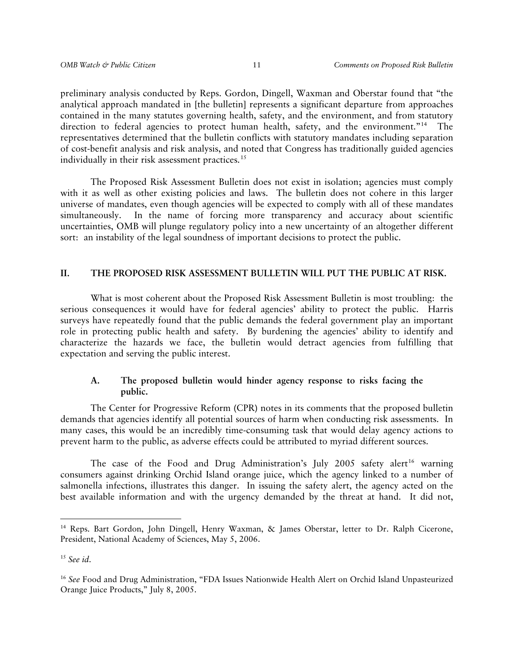preliminary analysis conducted by Reps. Gordon, Dingell, Waxman and Oberstar found that "the analytical approach mandated in [the bulletin] represents a significant departure from approaches contained in the many statutes governing health, safety, and the environment, and from statutory direction to federal agencies to protect human health, safety, and the environment."<sup>[14](#page-10-0)</sup> The representatives determined that the bulletin conflicts with statutory mandates including separation of cost-benefit analysis and risk analysis, and noted that Congress has traditionally guided agencies individually in their risk assessment practices.<sup>[15](#page-10-1)</sup>

 The Proposed Risk Assessment Bulletin does not exist in isolation; agencies must comply with it as well as other existing policies and laws. The bulletin does not cohere in this larger universe of mandates, even though agencies will be expected to comply with all of these mandates simultaneously. In the name of forcing more transparency and accuracy about scientific uncertainties, OMB will plunge regulatory policy into a new uncertainty of an altogether different sort: an instability of the legal soundness of important decisions to protect the public.

#### **II. THE PROPOSED RISK ASSESSMENT BULLETIN WILL PUT THE PUBLIC AT RISK.**

 What is most coherent about the Proposed Risk Assessment Bulletin is most troubling: the serious consequences it would have for federal agencies' ability to protect the public. Harris surveys have repeatedly found that the public demands the federal government play an important role in protecting public health and safety. By burdening the agencies' ability to identify and characterize the hazards we face, the bulletin would detract agencies from fulfilling that expectation and serving the public interest.

### **A. The proposed bulletin would hinder agency response to risks facing the public.**

The Center for Progressive Reform (CPR) notes in its comments that the proposed bulletin demands that agencies identify all potential sources of harm when conducting risk assessments. In many cases, this would be an incredibly time-consuming task that would delay agency actions to prevent harm to the public, as adverse effects could be attributed to myriad different sources.

The case of the Food and Drug Administration's July 2005 safety alert<sup>[16](#page-10-2)</sup> warning consumers against drinking Orchid Island orange juice, which the agency linked to a number of salmonella infections, illustrates this danger. In issuing the safety alert, the agency acted on the best available information and with the urgency demanded by the threat at hand. It did not,

<span id="page-10-0"></span><sup>&</sup>lt;sup>14</sup> Reps. Bart Gordon, John Dingell, Henry Waxman, & James Oberstar, letter to Dr. Ralph Cicerone, President, National Academy of Sciences, May 5, 2006.

<span id="page-10-1"></span><sup>15</sup> *See id*.

<span id="page-10-2"></span><sup>16</sup> *See* Food and Drug Administration, "FDA Issues Nationwide Health Alert on Orchid Island Unpasteurized Orange Juice Products," July 8, 2005.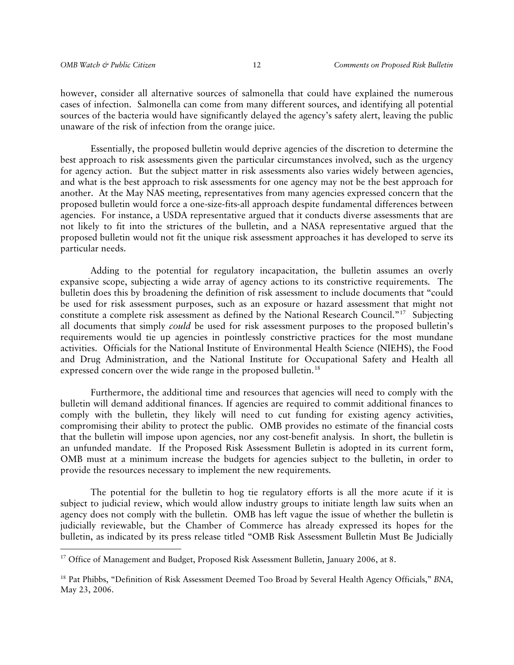however, consider all alternative sources of salmonella that could have explained the numerous cases of infection. Salmonella can come from many different sources, and identifying all potential sources of the bacteria would have significantly delayed the agency's safety alert, leaving the public unaware of the risk of infection from the orange juice.

Essentially, the proposed bulletin would deprive agencies of the discretion to determine the best approach to risk assessments given the particular circumstances involved, such as the urgency for agency action. But the subject matter in risk assessments also varies widely between agencies, and what is the best approach to risk assessments for one agency may not be the best approach for another. At the May NAS meeting, representatives from many agencies expressed concern that the proposed bulletin would force a one-size-fits-all approach despite fundamental differences between agencies. For instance, a USDA representative argued that it conducts diverse assessments that are not likely to fit into the strictures of the bulletin, and a NASA representative argued that the proposed bulletin would not fit the unique risk assessment approaches it has developed to serve its particular needs.

Adding to the potential for regulatory incapacitation, the bulletin assumes an overly expansive scope, subjecting a wide array of agency actions to its constrictive requirements. The bulletin does this by broadening the definition of risk assessment to include documents that "could be used for risk assessment purposes, such as an exposure or hazard assessment that might not constitute a complete risk assessment as defined by the National Research Council."[17](#page-11-0) Subjecting all documents that simply *could* be used for risk assessment purposes to the proposed bulletin's requirements would tie up agencies in pointlessly constrictive practices for the most mundane activities. Officials for the National Institute of Environmental Health Science (NIEHS), the Food and Drug Administration, and the National Institute for Occupational Safety and Health all expressed concern over the wide range in the proposed bulletin.<sup>[18](#page-11-1)</sup>

Furthermore, the additional time and resources that agencies will need to comply with the bulletin will demand additional finances. If agencies are required to commit additional finances to comply with the bulletin, they likely will need to cut funding for existing agency activities, compromising their ability to protect the public. OMB provides no estimate of the financial costs that the bulletin will impose upon agencies, nor any cost-benefit analysis. In short, the bulletin is an unfunded mandate. If the Proposed Risk Assessment Bulletin is adopted in its current form, OMB must at a minimum increase the budgets for agencies subject to the bulletin, in order to provide the resources necessary to implement the new requirements.

 The potential for the bulletin to hog tie regulatory efforts is all the more acute if it is subject to judicial review, which would allow industry groups to initiate length law suits when an agency does not comply with the bulletin. OMB has left vague the issue of whether the bulletin is judicially reviewable, but the Chamber of Commerce has already expressed its hopes for the bulletin, as indicated by its press release titled "OMB Risk Assessment Bulletin Must Be Judicially

<span id="page-11-0"></span><sup>&</sup>lt;sup>17</sup> Office of Management and Budget, Proposed Risk Assessment Bulletin, January 2006, at 8.

<span id="page-11-1"></span><sup>18</sup> Pat Phibbs, "Definition of Risk Assessment Deemed Too Broad by Several Health Agency Officials," *BNA*, May 23, 2006.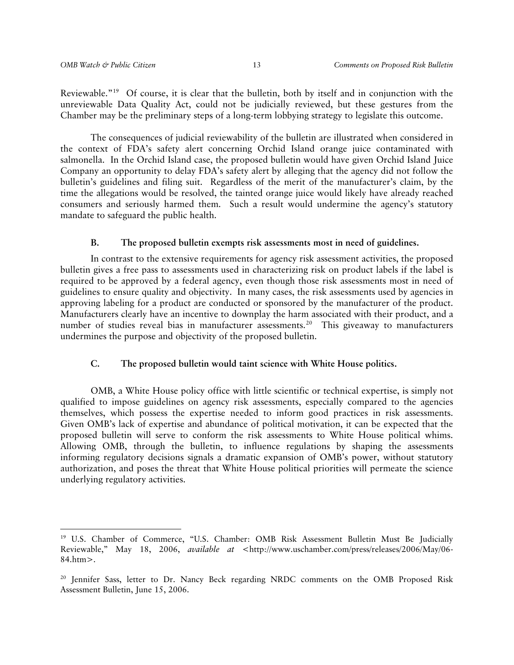Reviewable."<sup>[19](#page-12-0)</sup> Of course, it is clear that the bulletin, both by itself and in conjunction with the unreviewable Data Quality Act, could not be judicially reviewed, but these gestures from the Chamber may be the preliminary steps of a long-term lobbying strategy to legislate this outcome.

The consequences of judicial reviewability of the bulletin are illustrated when considered in the context of FDA's safety alert concerning Orchid Island orange juice contaminated with salmonella. In the Orchid Island case, the proposed bulletin would have given Orchid Island Juice Company an opportunity to delay FDA's safety alert by alleging that the agency did not follow the bulletin's guidelines and filing suit. Regardless of the merit of the manufacturer's claim, by the time the allegations would be resolved, the tainted orange juice would likely have already reached consumers and seriously harmed them. Such a result would undermine the agency's statutory mandate to safeguard the public health.

#### **B. The proposed bulletin exempts risk assessments most in need of guidelines.**

In contrast to the extensive requirements for agency risk assessment activities, the proposed bulletin gives a free pass to assessments used in characterizing risk on product labels if the label is required to be approved by a federal agency, even though those risk assessments most in need of guidelines to ensure quality and objectivity. In many cases, the risk assessments used by agencies in approving labeling for a product are conducted or sponsored by the manufacturer of the product. Manufacturers clearly have an incentive to downplay the harm associated with their product, and a number of studies reveal bias in manufacturer assessments.<sup>[20](#page-12-1)</sup> This giveaway to manufacturers undermines the purpose and objectivity of the proposed bulletin.

#### **C. The proposed bulletin would taint science with White House politics.**

OMB, a White House policy office with little scientific or technical expertise, is simply not qualified to impose guidelines on agency risk assessments, especially compared to the agencies themselves, which possess the expertise needed to inform good practices in risk assessments. Given OMB's lack of expertise and abundance of political motivation, it can be expected that the proposed bulletin will serve to conform the risk assessments to White House political whims. Allowing OMB, through the bulletin, to influence regulations by shaping the assessments informing regulatory decisions signals a dramatic expansion of OMB's power, without statutory authorization, and poses the threat that White House political priorities will permeate the science underlying regulatory activities.

<span id="page-12-0"></span><sup>19</sup> U.S. Chamber of Commerce, "U.S. Chamber: OMB Risk Assessment Bulletin Must Be Judicially Reviewable," May 18, 2006, *available at* <http://www.uschamber.com/press/releases/2006/May/06- 84.htm>.

<span id="page-12-1"></span><sup>&</sup>lt;sup>20</sup> Jennifer Sass, letter to Dr. Nancy Beck regarding NRDC comments on the OMB Proposed Risk Assessment Bulletin, June 15, 2006.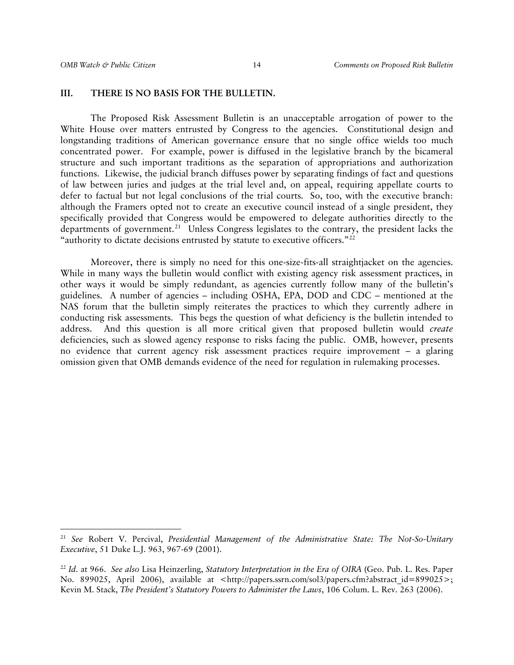### **III. THERE IS NO BASIS FOR THE BULLETIN.**

 The Proposed Risk Assessment Bulletin is an unacceptable arrogation of power to the White House over matters entrusted by Congress to the agencies. Constitutional design and longstanding traditions of American governance ensure that no single office wields too much concentrated power. For example, power is diffused in the legislative branch by the bicameral structure and such important traditions as the separation of appropriations and authorization functions. Likewise, the judicial branch diffuses power by separating findings of fact and questions of law between juries and judges at the trial level and, on appeal, requiring appellate courts to defer to factual but not legal conclusions of the trial courts. So, too, with the executive branch: although the Framers opted not to create an executive council instead of a single president, they specifically provided that Congress would be empowered to delegate authorities directly to the departments of government.<sup>[21](#page-13-0)</sup> Unless Congress legislates to the contrary, the president lacks the "authority to dictate decisions entrusted by statute to executive officers."<sup>[22](#page-13-1)</sup>

Moreover, there is simply no need for this one-size-fits-all straightjacket on the agencies. While in many ways the bulletin would conflict with existing agency risk assessment practices, in other ways it would be simply redundant, as agencies currently follow many of the bulletin's guidelines. A number of agencies – including OSHA, EPA, DOD and CDC – mentioned at the NAS forum that the bulletin simply reiterates the practices to which they currently adhere in conducting risk assessments. This begs the question of what deficiency is the bulletin intended to address. And this question is all more critical given that proposed bulletin would *create*  deficiencies, such as slowed agency response to risks facing the public. OMB, however, presents no evidence that current agency risk assessment practices require improvement – a glaring omission given that OMB demands evidence of the need for regulation in rulemaking processes.

<span id="page-13-0"></span><sup>21</sup> *See* Robert V. Percival, *Presidential Management of the Administrative State: The Not-So-Unitary Executive*, 51 Duke L.J. 963, 967-69 (2001).

<span id="page-13-1"></span><sup>22</sup> *Id*. at 966. *See also* Lisa Heinzerling, *Statutory Interpretation in the Era of OIRA* (Geo. Pub. L. Res. Paper No. 899025, April 2006), available at <http://papers.ssrn.com/sol3/papers.cfm?abstract\_id=899025>; Kevin M. Stack, *The President's Statutory Powers to Administer the Laws*, 106 Colum. L. Rev. 263 (2006).